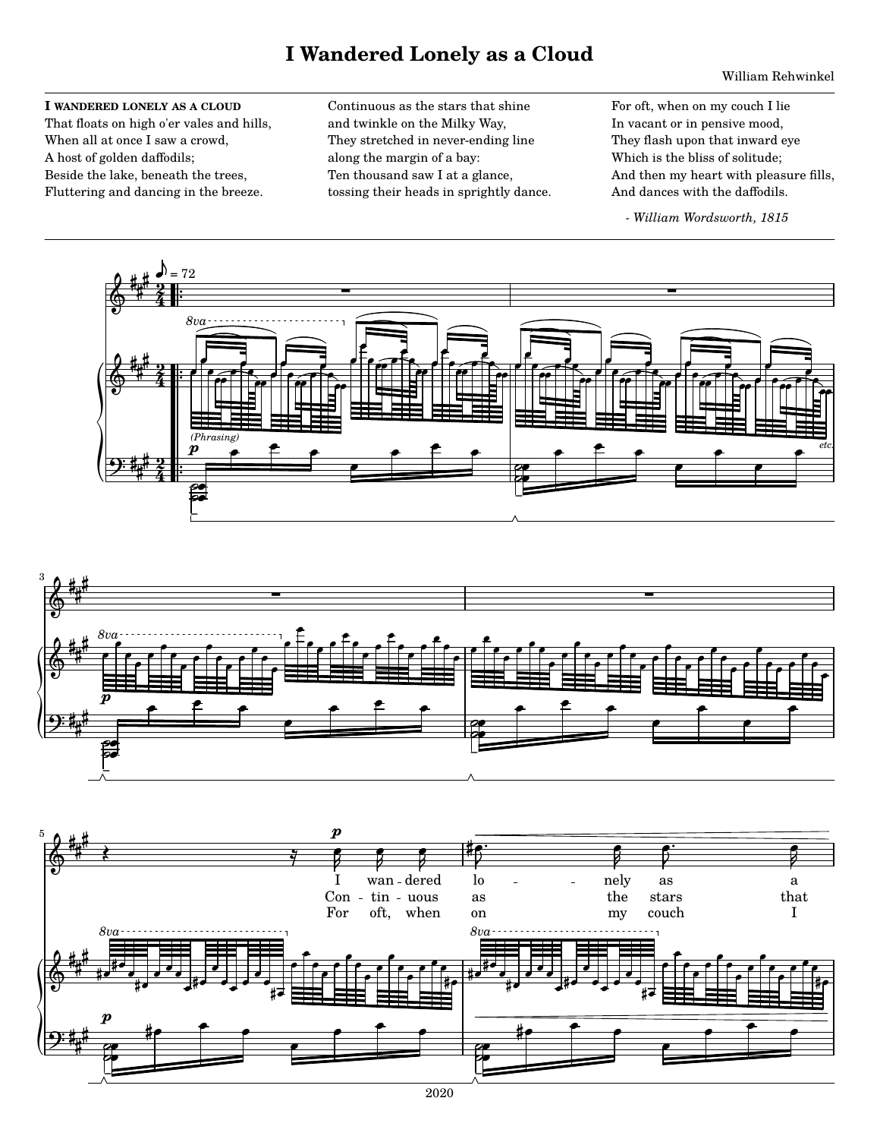## **I Wandered Lonely as a Cloud**

## William Rehwinkel

## I WANDERED LONELY AS A CLOUD

That floats on high o'er vales and hills, When all at once I saw a crowd, A host of golden daffodils; Beside the lake, beneath the trees, Fluttering and dancing in the breeze.

Continuous as the stars that shine and twinkle on the Milky Way, They stretched in never-ending line along the margin of a bay: Ten thousand saw I at a glance, tossing their heads in sprightly dance. For oft, when on my couch I lie In vacant or in pensive mood, They flash upon that inward eye Which is the bliss of solitude; And then my heart with pleasure fills, And dances with the daffodils.

- William Wordsworth, 1815





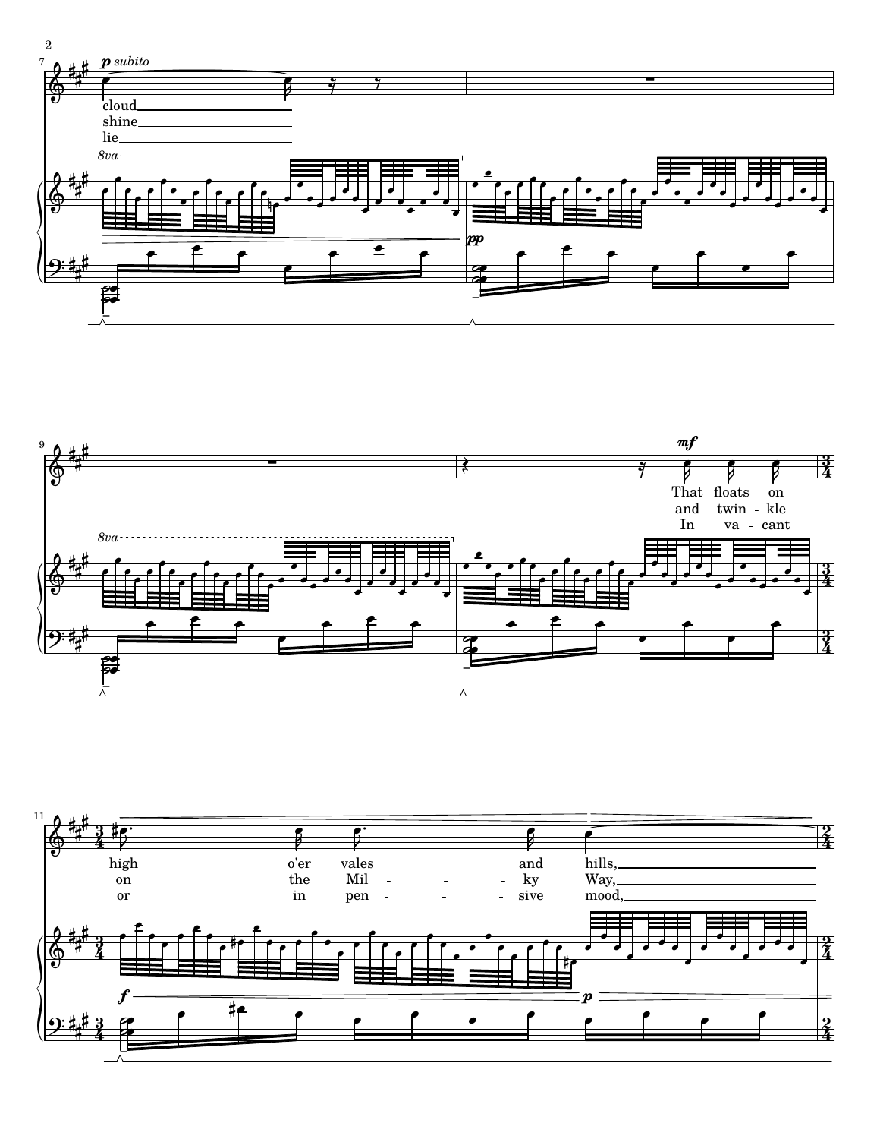



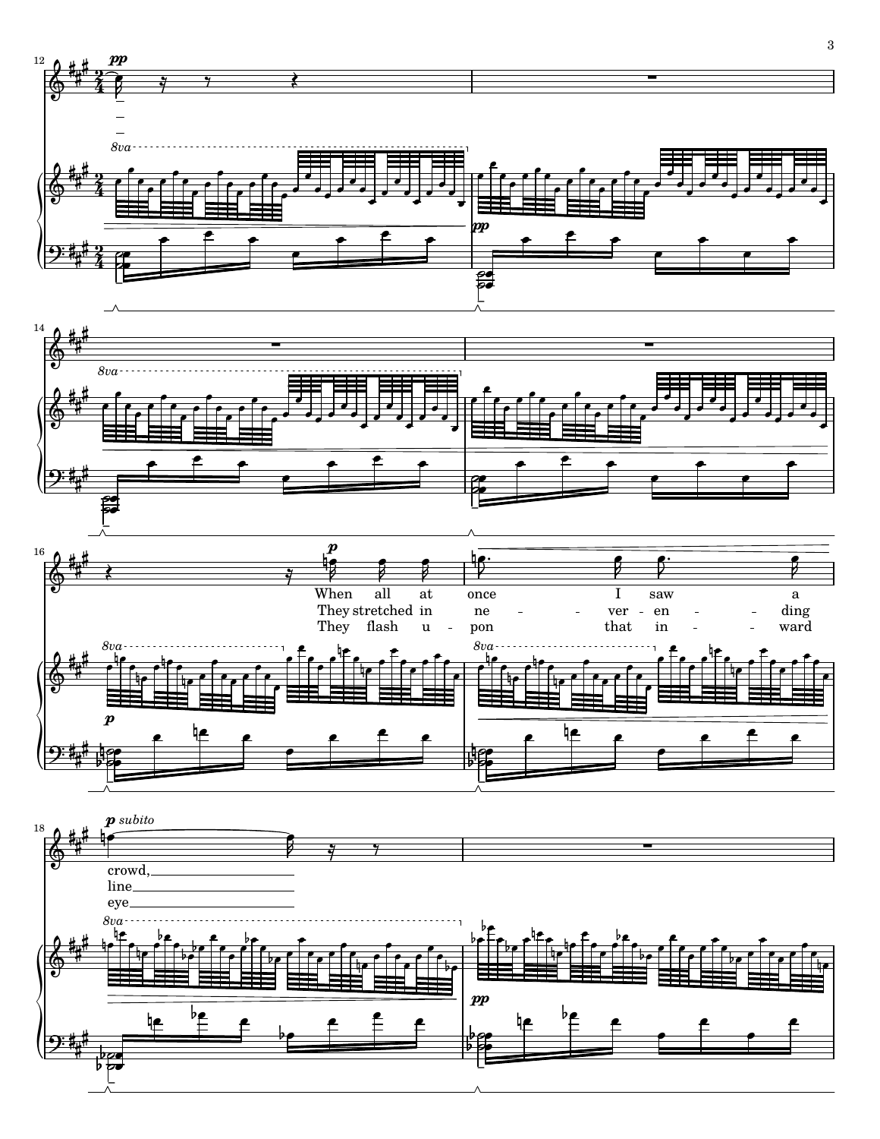

 $\bf{3}$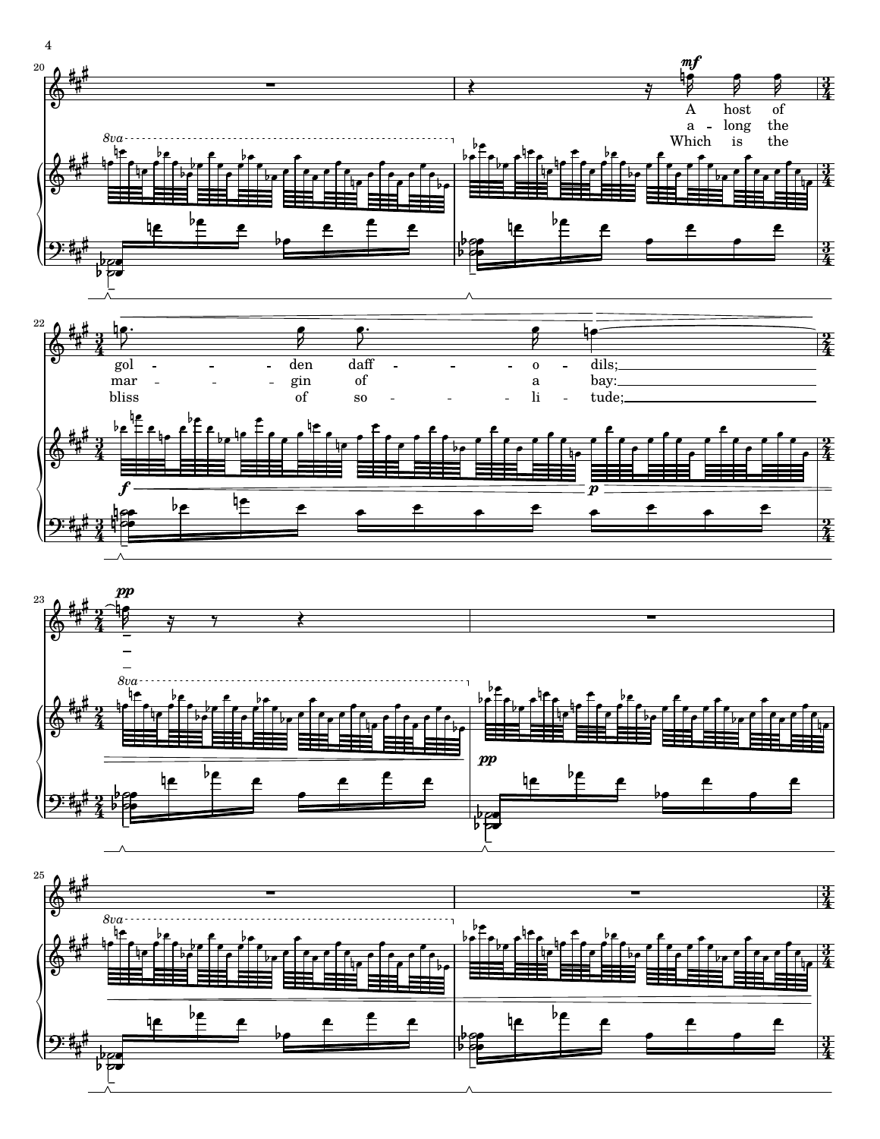





 $\boldsymbol{4}$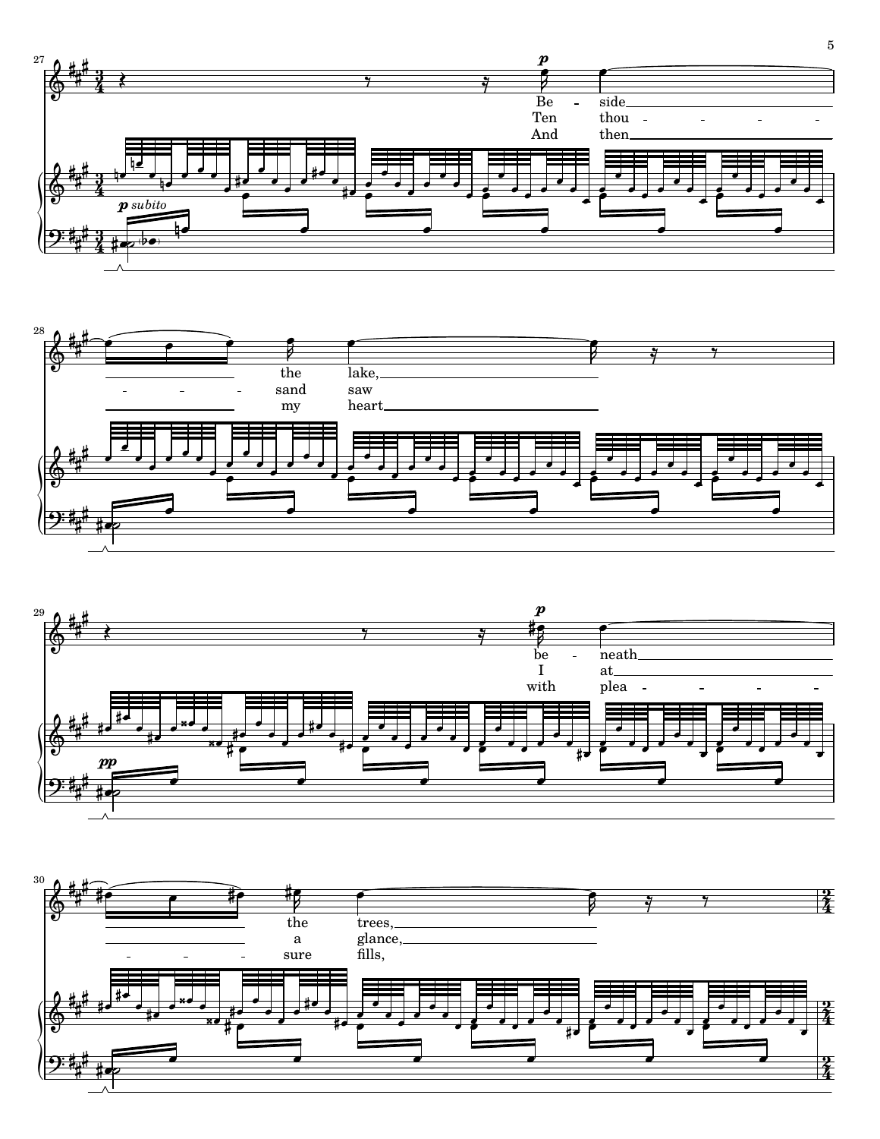